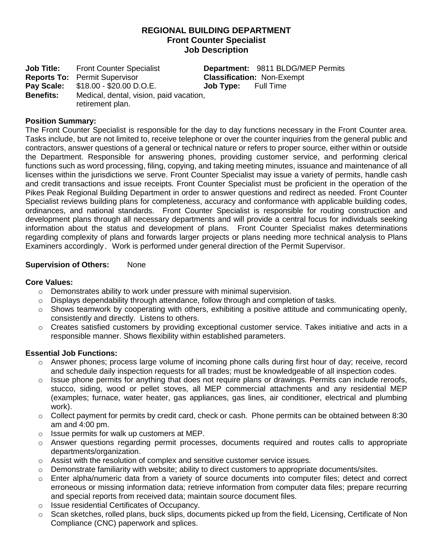# **REGIONAL BUILDING DEPARTMENT Front Counter Specialist Job Description**

**Job Title:** Front Counter Specialist **Department:** 9811 BLDG/MEP Permits **Reports To:** Permit Supervisor **Classification:** Non-Exempt **Pay Scale:** \$18.00 - \$20.00 D.O.E. **Job Type:** Full Time **Benefits:** Medical, dental, vision, paid vacation, retirement plan.

## **Position Summary:**

The Front Counter Specialist is responsible for the day to day functions necessary in the Front Counter area. Tasks include, but are not limited to, receive telephone or over the counter inquiries from the general public and contractors, answer questions of a general or technical nature or refers to proper source, either within or outside the Department. Responsible for answering phones, providing customer service, and performing clerical functions such as word processing, filing, copying, and taking meeting minutes, issuance and maintenance of all licenses within the jurisdictions we serve. Front Counter Specialist may issue a variety of permits, handle cash and credit transactions and issue receipts. Front Counter Specialist must be proficient in the operation of the Pikes Peak Regional Building Department in order to answer questions and redirect as needed. Front Counter Specialist reviews building plans for completeness, accuracy and conformance with applicable building codes, ordinances, and national standards. Front Counter Specialist is responsible for routing construction and development plans through all necessary departments and will provide a central focus for individuals seeking information about the status and development of plans. Front Counter Specialist makes determinations regarding complexity of plans and forwards larger projects or plans needing more technical analysis to Plans Examiners accordingly. Work is performed under general direction of the Permit Supervisor.

## **Supervision of Others:** None

## **Core Values:**

- o Demonstrates ability to work under pressure with minimal supervision.
- $\circ$  Displays dependability through attendance, follow through and completion of tasks.
- $\circ$  Shows teamwork by cooperating with others, exhibiting a positive attitude and communicating openly, consistently and directly. Listens to others.
- $\circ$  Creates satisfied customers by providing exceptional customer service. Takes initiative and acts in a responsible manner. Shows flexibility within established parameters.

## **Essential Job Functions:**

- $\circ$  Answer phones; process large volume of incoming phone calls during first hour of day; receive, record and schedule daily inspection requests for all trades; must be knowledgeable of all inspection codes.
- $\circ$  Issue phone permits for anything that does not require plans or drawings. Permits can include reroofs, stucco, siding, wood or pellet stoves, all MEP commercial attachments and any residential MEP (examples; furnace, water heater, gas appliances, gas lines, air conditioner, electrical and plumbing work).
- $\circ$  Collect payment for permits by credit card, check or cash. Phone permits can be obtained between 8:30 am and 4:00 pm.
- $\circ$  Issue permits for walk up customers at MEP.
- $\circ$  Answer questions regarding permit processes, documents required and routes calls to appropriate departments/organization.
- $\circ$  Assist with the resolution of complex and sensitive customer service issues.
- $\circ$  Demonstrate familiarity with website; ability to direct customers to appropriate documents/sites.
- o Enter alpha/numeric data from a variety of source documents into computer files; detect and correct erroneous or missing information data; retrieve information from computer data files; prepare recurring and special reports from received data; maintain source document files.
- o Issue residential Certificates of Occupancy.
- $\circ$  Scan sketches, rolled plans, buck slips, documents picked up from the field, Licensing, Certificate of Non Compliance (CNC) paperwork and splices.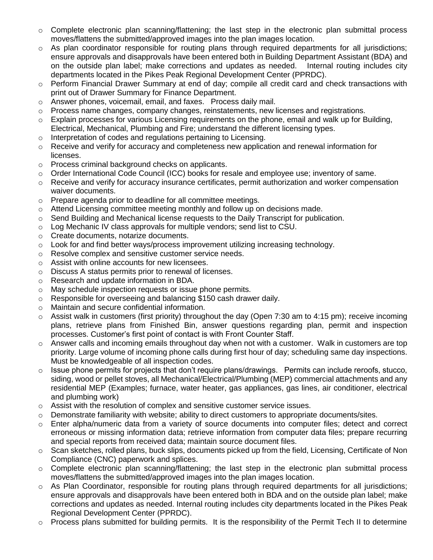- $\circ$  Complete electronic plan scanning/flattening; the last step in the electronic plan submittal process moves/flattens the submitted/approved images into the plan images location.
- $\circ$  As plan coordinator responsible for routing plans through required departments for all jurisdictions; ensure approvals and disapprovals have been entered both in Building Department Assistant (BDA) and on the outside plan label; make corrections and updates as needed. Internal routing includes city departments located in the Pikes Peak Regional Development Center (PPRDC).
- o Perform Financial Drawer Summary at end of day; compile all credit card and check transactions with print out of Drawer Summary for Finance Department.
- o Answer phones, voicemail, email, and faxes. Process daily mail.
- $\circ$  Process name changes, company changes, reinstatements, new licenses and registrations.
- $\circ$  Explain processes for various Licensing requirements on the phone, email and walk up for Building, Electrical, Mechanical, Plumbing and Fire; understand the different licensing types.
- o Interpretation of codes and regulations pertaining to Licensing.
- $\circ$  Receive and verify for accuracy and completeness new application and renewal information for licenses.
- o Process criminal background checks on applicants.
- $\circ$  Order International Code Council (ICC) books for resale and employee use; inventory of same.
- $\circ$  Receive and verify for accuracy insurance certificates, permit authorization and worker compensation waiver documents.
- o Prepare agenda prior to deadline for all committee meetings.
- $\circ$  Attend Licensing committee meeting monthly and follow up on decisions made.
- $\circ$  Send Building and Mechanical license requests to the Daily Transcript for publication.
- $\circ$  Log Mechanic IV class approvals for multiple vendors; send list to CSU.
- o Create documents, notarize documents.
- $\circ$  Look for and find better ways/process improvement utilizing increasing technology.
- o Resolve complex and sensitive customer service needs.
- o Assist with online accounts for new licensees.
- o Discuss A status permits prior to renewal of licenses.
- o Research and update information in BDA.
- o May schedule inspection requests or issue phone permits.
- o Responsible for overseeing and balancing \$150 cash drawer daily.
- o Maintain and secure confidential information.
- Assist walk in customers (first priority) throughout the day (Open 7:30 am to 4:15 pm); receive incoming plans, retrieve plans from Finished Bin, answer questions regarding plan, permit and inspection processes. Customer's first point of contact is with Front Counter Staff.
- $\circ$  Answer calls and incoming emails throughout day when not with a customer. Walk in customers are top priority. Large volume of incoming phone calls during first hour of day; scheduling same day inspections. Must be knowledgeable of all inspection codes.
- o Issue phone permits for projects that don't require plans/drawings. Permits can include reroofs, stucco, siding, wood or pellet stoves, all Mechanical/Electrical/Plumbing (MEP) commercial attachments and any residential MEP (Examples; furnace, water heater, gas appliances, gas lines, air conditioner, electrical and plumbing work)
- $\circ$  Assist with the resolution of complex and sensitive customer service issues.
- $\circ$  Demonstrate familiarity with website; ability to direct customers to appropriate documents/sites.
- o Enter alpha/numeric data from a variety of source documents into computer files; detect and correct erroneous or missing information data; retrieve information from computer data files; prepare recurring and special reports from received data; maintain source document files.
- $\circ$  Scan sketches, rolled plans, buck slips, documents picked up from the field, Licensing, Certificate of Non Compliance (CNC) paperwork and splices.
- $\circ$  Complete electronic plan scanning/flattening; the last step in the electronic plan submittal process moves/flattens the submitted/approved images into the plan images location.
- As Plan Coordinator, responsible for routing plans through required departments for all jurisdictions; ensure approvals and disapprovals have been entered both in BDA and on the outside plan label; make corrections and updates as needed. Internal routing includes city departments located in the Pikes Peak Regional Development Center (PPRDC).
- $\circ$  Process plans submitted for building permits. It is the responsibility of the Permit Tech II to determine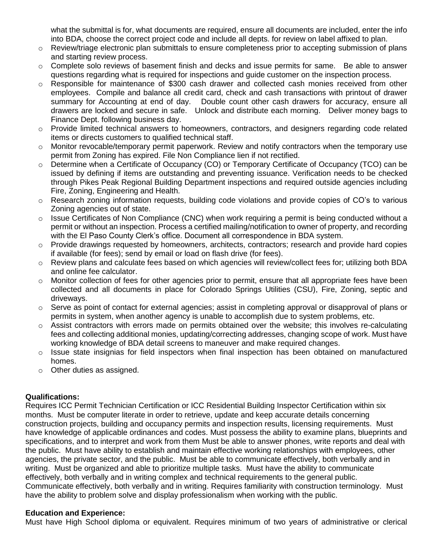what the submittal is for, what documents are required, ensure all documents are included, enter the info into BDA, choose the correct project code and include all depts. for review on label affixed to plan.

- $\circ$  Review/triage electronic plan submittals to ensure completeness prior to accepting submission of plans and starting review process.
- $\circ$  Complete solo reviews of basement finish and decks and issue permits for same. Be able to answer questions regarding what is required for inspections and guide customer on the inspection process.
- o Responsible for maintenance of \$300 cash drawer and collected cash monies received from other employees. Compile and balance all credit card, check and cash transactions with printout of drawer summary for Accounting at end of day. Double count other cash drawers for accuracy, ensure all drawers are locked and secure in safe. Unlock and distribute each morning. Deliver money bags to Finance Dept. following business day.
- o Provide limited technical answers to homeowners, contractors, and designers regarding code related items or directs customers to qualified technical staff.
- $\circ$  Monitor revocable/temporary permit paperwork. Review and notify contractors when the temporary use permit from Zoning has expired. File Non Compliance lien if not rectified.
- o Determine when a Certificate of Occupancy (CO) or Temporary Certificate of Occupancy (TCO) can be issued by defining if items are outstanding and preventing issuance. Verification needs to be checked through Pikes Peak Regional Building Department inspections and required outside agencies including Fire, Zoning, Engineering and Health.
- $\circ$  Research zoning information requests, building code violations and provide copies of CO's to various Zoning agencies out of state.
- o Issue Certificates of Non Compliance (CNC) when work requiring a permit is being conducted without a permit or without an inspection. Process a certified mailing/notification to owner of property, and recording with the El Paso County Clerk's office. Document all correspondence in BDA system.
- o Provide drawings requested by homeowners, architects, contractors; research and provide hard copies if available (for fees); send by email or load on flash drive (for fees).
- Review plans and calculate fees based on which agencies will review/collect fees for; utilizing both BDA and online fee calculator.
- $\circ$  Monitor collection of fees for other agencies prior to permit, ensure that all appropriate fees have been collected and all documents in place for Colorado Springs Utilities (CSU), Fire, Zoning, septic and driveways.
- o Serve as point of contact for external agencies; assist in completing approval or disapproval of plans or permits in system, when another agency is unable to accomplish due to system problems, etc.
- $\circ$  Assist contractors with errors made on permits obtained over the website; this involves re-calculating fees and collecting additional monies, updating/correcting addresses, changing scope of work. Must have working knowledge of BDA detail screens to maneuver and make required changes.
- $\circ$  Issue state insignias for field inspectors when final inspection has been obtained on manufactured homes.
- o Other duties as assigned.

## **Qualifications:**

Requires ICC Permit Technician Certification or ICC Residential Building Inspector Certification within six months. Must be computer literate in order to retrieve, update and keep accurate details concerning construction projects, building and occupancy permits and inspection results, licensing requirements. Must have knowledge of applicable ordinances and codes. Must possess the ability to examine plans, blueprints and specifications, and to interpret and work from them Must be able to answer phones, write reports and deal with the public. Must have ability to establish and maintain effective working relationships with employees, other agencies, the private sector, and the public. Must be able to communicate effectively, both verbally and in writing. Must be organized and able to prioritize multiple tasks. Must have the ability to communicate effectively, both verbally and in writing complex and technical requirements to the general public. Communicate effectively, both verbally and in writing. Requires familiarity with construction terminology.Must have the ability to problem solve and display professionalism when working with the public.

## **Education and Experience:**

Must have High School diploma or equivalent. Requires minimum of two years of administrative or clerical